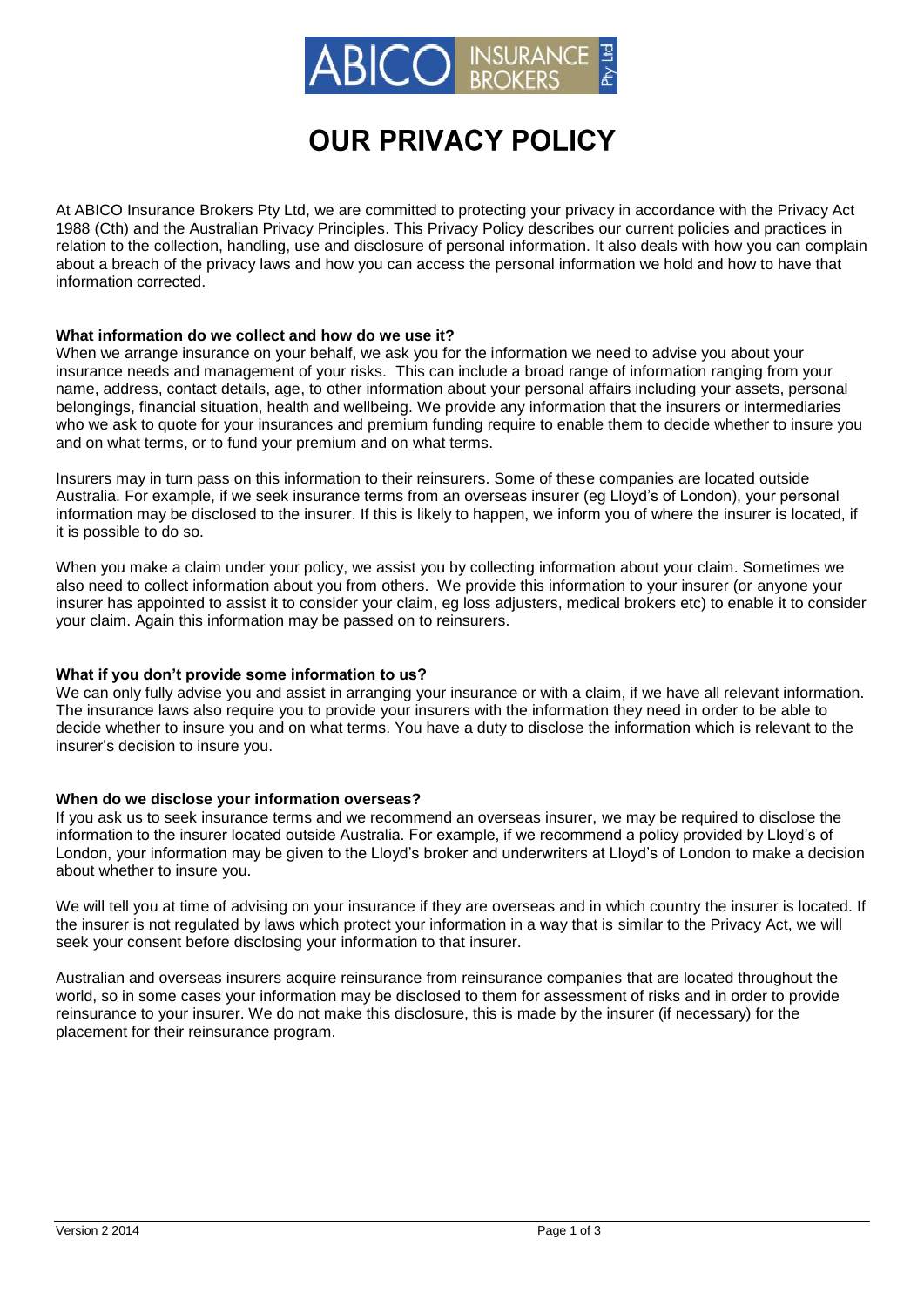

# **OUR PRIVACY POLICY**

At ABICO Insurance Brokers Pty Ltd, we are committed to protecting your privacy in accordance with the Privacy Act 1988 (Cth) and the Australian Privacy Principles. This Privacy Policy describes our current policies and practices in relation to the collection, handling, use and disclosure of personal information. It also deals with how you can complain about a breach of the privacy laws and how you can access the personal information we hold and how to have that information corrected.

#### **What information do we collect and how do we use it?**

When we arrange insurance on your behalf, we ask you for the information we need to advise you about your insurance needs and management of your risks. This can include a broad range of information ranging from your name, address, contact details, age, to other information about your personal affairs including your assets, personal belongings, financial situation, health and wellbeing. We provide any information that the insurers or intermediaries who we ask to quote for your insurances and premium funding require to enable them to decide whether to insure you and on what terms, or to fund your premium and on what terms.

Insurers may in turn pass on this information to their reinsurers. Some of these companies are located outside Australia. For example, if we seek insurance terms from an overseas insurer (eg Lloyd's of London), your personal information may be disclosed to the insurer. If this is likely to happen, we inform you of where the insurer is located, if it is possible to do so.

When you make a claim under your policy, we assist you by collecting information about your claim. Sometimes we also need to collect information about you from others. We provide this information to your insurer (or anyone your insurer has appointed to assist it to consider your claim, eg loss adjusters, medical brokers etc) to enable it to consider your claim. Again this information may be passed on to reinsurers.

## **What if you don't provide some information to us?**

We can only fully advise you and assist in arranging your insurance or with a claim, if we have all relevant information. The insurance laws also require you to provide your insurers with the information they need in order to be able to decide whether to insure you and on what terms. You have a duty to disclose the information which is relevant to the insurer's decision to insure you.

## **When do we disclose your information overseas?**

If you ask us to seek insurance terms and we recommend an overseas insurer, we may be required to disclose the information to the insurer located outside Australia. For example, if we recommend a policy provided by Lloyd's of London, your information may be given to the Lloyd's broker and underwriters at Lloyd's of London to make a decision about whether to insure you.

We will tell you at time of advising on your insurance if they are overseas and in which country the insurer is located. If the insurer is not regulated by laws which protect your information in a way that is similar to the Privacy Act, we will seek your consent before disclosing your information to that insurer.

Australian and overseas insurers acquire reinsurance from reinsurance companies that are located throughout the world, so in some cases your information may be disclosed to them for assessment of risks and in order to provide reinsurance to your insurer. We do not make this disclosure, this is made by the insurer (if necessary) for the placement for their reinsurance program.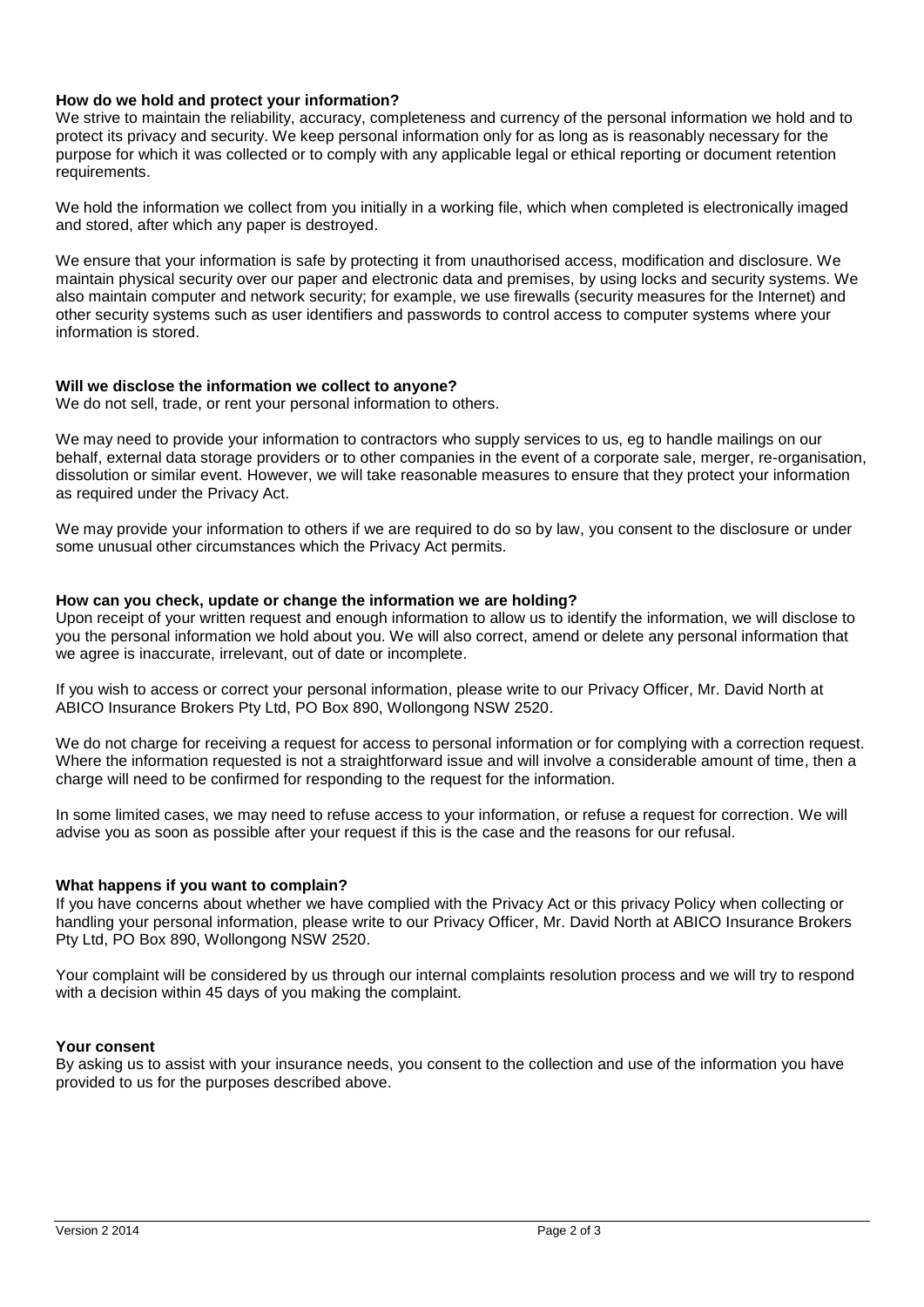# **How do we hold and protect your information?**

We strive to maintain the reliability, accuracy, completeness and currency of the personal information we hold and to protect its privacy and security. We keep personal information only for as long as is reasonably necessary for the purpose for which it was collected or to comply with any applicable legal or ethical reporting or document retention requirements.

We hold the information we collect from you initially in a working file, which when completed is electronically imaged and stored, after which any paper is destroyed.

We ensure that your information is safe by protecting it from unauthorised access, modification and disclosure. We maintain physical security over our paper and electronic data and premises, by using locks and security systems. We also maintain computer and network security; for example, we use firewalls (security measures for the Internet) and other security systems such as user identifiers and passwords to control access to computer systems where your information is stored.

# **Will we disclose the information we collect to anyone?**

We do not sell, trade, or rent your personal information to others.

We may need to provide your information to contractors who supply services to us, eg to handle mailings on our behalf, external data storage providers or to other companies in the event of a corporate sale, merger, re-organisation, dissolution or similar event. However, we will take reasonable measures to ensure that they protect your information as required under the Privacy Act.

We may provide your information to others if we are required to do so by law, you consent to the disclosure or under some unusual other circumstances which the Privacy Act permits.

## **How can you check, update or change the information we are holding?**

Upon receipt of your written request and enough information to allow us to identify the information, we will disclose to you the personal information we hold about you. We will also correct, amend or delete any personal information that we agree is inaccurate, irrelevant, out of date or incomplete.

If you wish to access or correct your personal information, please write to our Privacy Officer, Mr. David North at ABICO Insurance Brokers Pty Ltd, PO Box 890, Wollongong NSW 2520.

We do not charge for receiving a request for access to personal information or for complying with a correction request. Where the information requested is not a straightforward issue and will involve a considerable amount of time, then a charge will need to be confirmed for responding to the request for the information.

In some limited cases, we may need to refuse access to your information, or refuse a request for correction. We will advise you as soon as possible after your request if this is the case and the reasons for our refusal.

# **What happens if you want to complain?**

If you have concerns about whether we have complied with the Privacy Act or this privacy Policy when collecting or handling your personal information, please write to our Privacy Officer, Mr. David North at ABICO Insurance Brokers Pty Ltd, PO Box 890, Wollongong NSW 2520.

Your complaint will be considered by us through our internal complaints resolution process and we will try to respond with a decision within 45 days of you making the complaint.

## **Your consent**

By asking us to assist with your insurance needs, you consent to the collection and use of the information you have provided to us for the purposes described above.